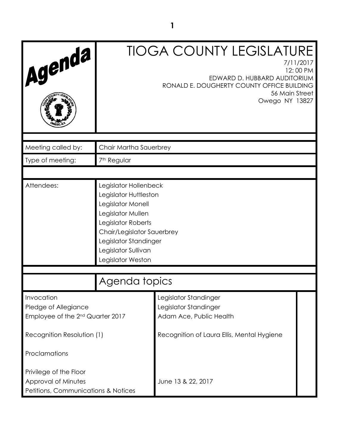| Agenda                                                                               |                                                                                                                                                                                                                   | <b>TIOGA COUNTY LEGISLATURE</b><br>7/11/2017<br>EDWARD D. HUBBARD AUDITORIUM<br>RONALD E. DOUGHERTY COUNTY OFFICE BUILDING<br>56 Main Street | 12:00 PM |
|--------------------------------------------------------------------------------------|-------------------------------------------------------------------------------------------------------------------------------------------------------------------------------------------------------------------|----------------------------------------------------------------------------------------------------------------------------------------------|----------|
|                                                                                      |                                                                                                                                                                                                                   | Owego NY 13827                                                                                                                               |          |
| Meeting called by:                                                                   | Chair Martha Sauerbrey                                                                                                                                                                                            |                                                                                                                                              |          |
| Type of meeting:                                                                     | 7 <sup>th</sup> Regular                                                                                                                                                                                           |                                                                                                                                              |          |
|                                                                                      |                                                                                                                                                                                                                   |                                                                                                                                              |          |
| Attendees:                                                                           | Legislator Hollenbeck<br>Legislator Huttleston<br>Legislator Monell<br>Legislator Mullen<br>Legislator Roberts<br>Chair/Legislator Sauerbrey<br>Legislator Standinger<br>Legislator Sullivan<br>Legislator Weston |                                                                                                                                              |          |
| Agenda topics                                                                        |                                                                                                                                                                                                                   |                                                                                                                                              |          |
| Invocation<br>Pledge of Allegiance<br>Employee of the 2 <sup>nd</sup> Quarter 2017   |                                                                                                                                                                                                                   | Legislator Standinger<br>Legislator Standinger<br>Adam Ace, Public Health                                                                    |          |
| Recognition Resolution (1)                                                           |                                                                                                                                                                                                                   | Recognition of Laura Ellis, Mental Hygiene                                                                                                   |          |
| Proclamations                                                                        |                                                                                                                                                                                                                   |                                                                                                                                              |          |
| Privilege of the Floor<br>Approval of Minutes<br>Petitions, Communications & Notices |                                                                                                                                                                                                                   | June 13 & 22, 2017                                                                                                                           |          |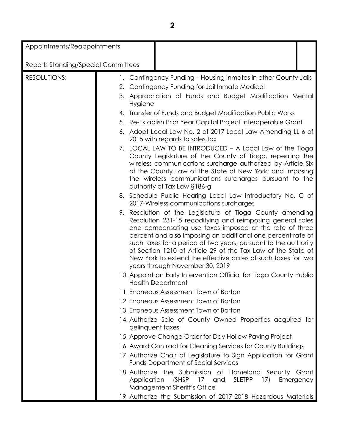Appointments/Reappointments

| Reports Standing/Special Committees |                  |                                                                                                                                                                                                                                                                                                                                                                                                                                                                                         |           |
|-------------------------------------|------------------|-----------------------------------------------------------------------------------------------------------------------------------------------------------------------------------------------------------------------------------------------------------------------------------------------------------------------------------------------------------------------------------------------------------------------------------------------------------------------------------------|-----------|
| <b>RESOLUTIONS:</b>                 | 1.               | Contingency Funding - Housing Inmates in other County Jails                                                                                                                                                                                                                                                                                                                                                                                                                             |           |
|                                     |                  | 2. Contingency Funding for Jail Inmate Medical                                                                                                                                                                                                                                                                                                                                                                                                                                          |           |
|                                     | Hygiene          | 3. Appropriation of Funds and Budget Modification Mental                                                                                                                                                                                                                                                                                                                                                                                                                                |           |
|                                     |                  | 4. Transfer of Funds and Budget Modification Public Works                                                                                                                                                                                                                                                                                                                                                                                                                               |           |
|                                     |                  | 5. Re-Establish Prior Year Capital Project Interoperable Grant                                                                                                                                                                                                                                                                                                                                                                                                                          |           |
|                                     |                  | 6. Adopt Local Law No. 2 of 2017-Local Law Amending LL 6 of<br>2015 with regards to sales tax                                                                                                                                                                                                                                                                                                                                                                                           |           |
|                                     |                  | 7. LOCAL LAW TO BE INTRODUCED - A Local Law of the Tioga<br>County Legislature of the County of Tioga, repealing the<br>wireless communications surcharge authorized by Article Six<br>of the County Law of the State of New York; and imposing<br>the wireless communications surcharges pursuant to the<br>authority of Tax Law §186-g                                                                                                                                                |           |
|                                     |                  | 8. Schedule Public Hearing Local Law Introductory No. C of<br>2017-Wireless communications surcharges                                                                                                                                                                                                                                                                                                                                                                                   |           |
|                                     |                  | 9. Resolution of the Legislature of Tioga County amending<br>Resolution 231-15 recodifying and reimposing general sales<br>and compensating use taxes imposed at the rate of three<br>percent and also imposing an additional one percent rate of<br>such taxes for a period of two years, pursuant to the authority<br>of Section 1210 of Article 29 of the Tax Law of the State of<br>New York to extend the effective dates of such taxes for two<br>years through November 30, 2019 |           |
|                                     |                  | 10. Appoint an Early Intervention Official for Tioga County Public<br><b>Health Department</b>                                                                                                                                                                                                                                                                                                                                                                                          |           |
|                                     |                  | 11. Erroneous Assessment Town of Barton                                                                                                                                                                                                                                                                                                                                                                                                                                                 |           |
|                                     |                  | 12. Erroneous Assessment Town of Barton                                                                                                                                                                                                                                                                                                                                                                                                                                                 |           |
|                                     |                  | 13. Erroneous Assessment Town of Barton                                                                                                                                                                                                                                                                                                                                                                                                                                                 |           |
|                                     | delinquent taxes | 14. Authorize Sale of County Owned Properties acquired for                                                                                                                                                                                                                                                                                                                                                                                                                              |           |
|                                     |                  | 15. Approve Change Order for Day Hollow Paving Project                                                                                                                                                                                                                                                                                                                                                                                                                                  |           |
|                                     |                  | 16. Award Contract for Cleaning Services for County Buildings                                                                                                                                                                                                                                                                                                                                                                                                                           |           |
|                                     |                  | 17. Authorize Chair of Legislature to Sign Application for Grant<br><b>Funds Department of Social Services</b>                                                                                                                                                                                                                                                                                                                                                                          |           |
|                                     | Application      | 18. Authorize the Submission of Homeland Security Grant<br>(SHSP 17 and<br><b>SLETPP</b><br>17)<br>Management Sheriff's Office                                                                                                                                                                                                                                                                                                                                                          | Emergency |
|                                     |                  | 19. Authorize the Submission of 2017-2018 Hazardous Materials                                                                                                                                                                                                                                                                                                                                                                                                                           |           |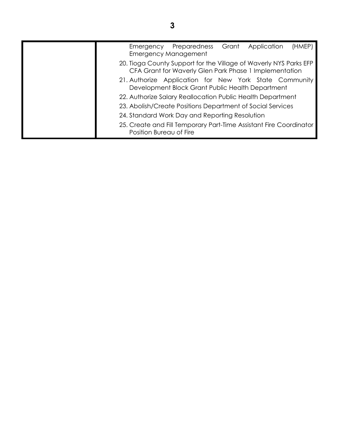| (HMEP)<br>Grant<br>Preparedness<br>Application<br>Emergency<br><b>Emergency Management</b>                                  |
|-----------------------------------------------------------------------------------------------------------------------------|
| 20. Tioga County Support for the Village of Waverly NYS Parks EFP<br>CFA Grant for Waverly Glen Park Phase 1 Implementation |
| 21. Authorize Application for New York State Community<br>Development Block Grant Public Health Department                  |
| 22. Authorize Salary Reallocation Public Health Department                                                                  |
| 23. Abolish/Create Positions Department of Social Services                                                                  |
| 24. Standard Work Day and Reporting Resolution                                                                              |
| 25. Create and Fill Temporary Part-Time Assistant Fire Coordinator<br>Position Bureau of Fire                               |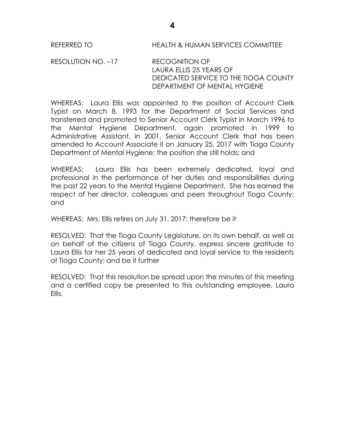REFERRED TO HEALTH & HUMAN SERVICES COMMITTEE

RESOLUTION NO. –17 RECOGNITION OF LAURA ELLIS 25 YEARS OF DEDICATED SERVICE TO THE TIOGA COUNTY DEPARTMENT OF MENTAL HYGIENE

WHEREAS: Laura Ellis was appointed to the position of Account Clerk Typist on March 8, 1993 for the Department of Social Services and transferred and promoted to Senior Account Clerk Typist in March 1996 to the Mental Hygiene Department, again promoted in 1999 to Administrative Assistant, in 2001, Senior Account Clerk that has been amended to Account Associate II on January 25, 2017 with Tioga County Department of Mental Hygiene; the position she still holds; and

WHEREAS: Laura Ellis has been extremely dedicated, loyal and professional in the performance of her duties and responsibilities during the past 22 years to the Mental Hygiene Department. She has earned the respect of her director, colleagues and peers throughout Tioga County; and

WHEREAS: Mrs. Ellis retires on July 31, 2017; therefore be it

RESOLVED: That the Tioga County Legislature, on its own behalf, as well as on behalf of the citizens of Tioga County, express sincere gratitude to Laura Ellis for her 25 years of dedicated and loyal service to the residents of Tioga County; and be it further

RESOLVED: That this resolution be spread upon the minutes of this meeting and a certified copy be presented to this outstanding employee, Laura Ellis.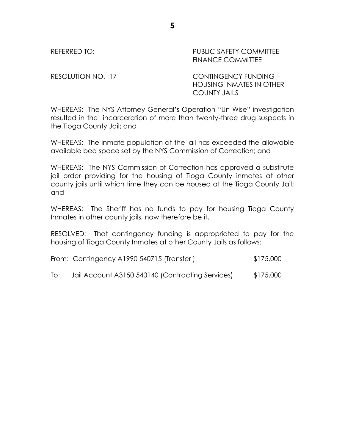## REFERRED TO: THE PUBLIC SAFETY COMMITTEE FINANCE COMMITTEE

RESOLUTION NO. -17 CONTINGENCY FUNDING – HOUSING INMATES IN OTHER COUNTY JAILS

WHEREAS: The NYS Attorney General's Operation "Un-Wise" investigation resulted in the incarceration of more than twenty-three drug suspects in the Tioga County Jail; and

WHEREAS: The inmate population at the jail has exceeded the allowable available bed space set by the NYS Commission of Correction; and

WHEREAS: The NYS Commission of Correction has approved a substitute jail order providing for the housing of Tioga County inmates at other county jails until which time they can be housed at the Tioga County Jail; and

WHEREAS: The Sheriff has no funds to pay for housing Tioga County Inmates in other county jails, now therefore be it,

RESOLVED: That contingency funding is appropriated to pay for the housing of Tioga County Inmates at other County Jails as follows:

| From: Contingency A1990 540715 (Transfer) | \$175,000 |
|-------------------------------------------|-----------|
|-------------------------------------------|-----------|

To: Jail Account A3150 540140 (Contracting Services) \$175,000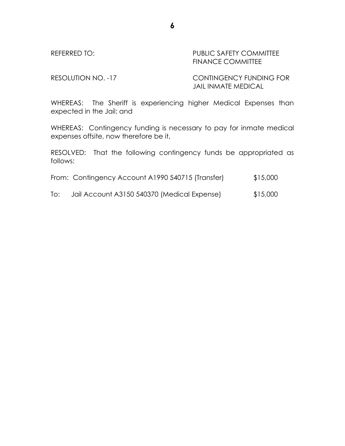# REFERRED TO: The PUBLIC SAFETY COMMITTEE FINANCE COMMITTEE

RESOLUTION NO. -17 CONTINGENCY FUNDING FOR JAIL INMATE MEDICAL

WHEREAS: The Sheriff is experiencing higher Medical Expenses than expected in the Jail; and

WHEREAS: Contingency funding is necessary to pay for inmate medical expenses offsite, now therefore be it,

RESOLVED: That the following contingency funds be appropriated as follows:

|  | From: Contingency Account A1990 540715 (Transfer) | \$15,000 |
|--|---------------------------------------------------|----------|
|  |                                                   |          |

To: Jail Account A3150 540370 (Medical Expense) \$15,000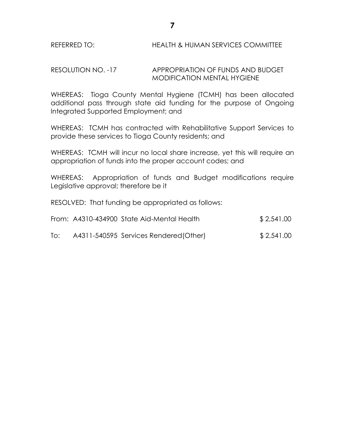### RESOLUTION NO. -17 APPROPRIATION OF FUNDS AND BUDGET MODIFICATION MENTAL HYGIENE

WHEREAS: Tioga County Mental Hygiene (TCMH) has been allocated additional pass through state aid funding for the purpose of Ongoing Integrated Supported Employment; and

WHEREAS: TCMH has contracted with Rehabilitative Support Services to provide these services to Tioga County residents; and

WHEREAS: TCMH will incur no local share increase, yet this will require an appropriation of funds into the proper account codes; and

WHEREAS: Appropriation of funds and Budget modifications require Legislative approval; therefore be it

RESOLVED: That funding be appropriated as follows:

|     | From: A4310-434900 State Aid-Mental Health | \$2,541.00 |
|-----|--------------------------------------------|------------|
| To: | A4311-540595 Services Rendered (Other)     | \$2,541.00 |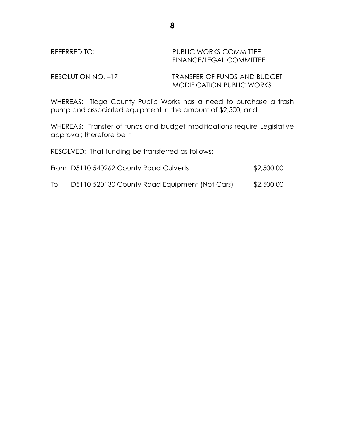| REFERRED TO:       | PUBLIC WORKS COMMITTEE<br>FINANCE/LEGAL COMMITTEE                       |
|--------------------|-------------------------------------------------------------------------|
| RESOLUTION NO. -17 | <b>TRANSFER OF FUNDS AND BUDGET</b><br><b>MODIFICATION PUBLIC WORKS</b> |

WHEREAS: Tioga County Public Works has a need to purchase a trash pump and associated equipment in the amount of \$2,500; and

WHEREAS: Transfer of funds and budget modifications require Legislative approval; therefore be it

RESOLVED: That funding be transferred as follows:

| From: D5110 540262 County Road Culverts | \$2,500.00 |
|-----------------------------------------|------------|
|                                         |            |

To: D5110 520130 County Road Equipment (Not Cars) \$2,500.00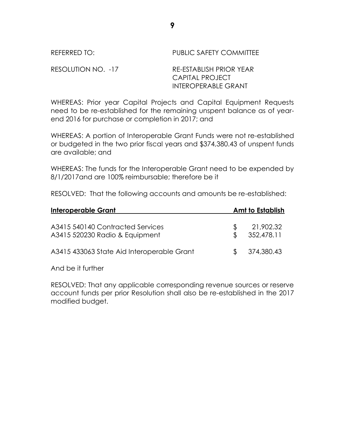REFERRED TO: PUBLIC SAFETY COMMITTEE

RESOLUTION NO. -17 RE-ESTABLISH PRIOR YEAR CAPITAL PROJECT INTEROPERABLE GRANT

WHEREAS: Prior year Capital Projects and Capital Equipment Requests need to be re-established for the remaining unspent balance as of yearend 2016 for purchase or completion in 2017; and

WHEREAS: A portion of Interoperable Grant Funds were not re-established or budgeted in the two prior fiscal years and \$374,380.43 of unspent funds are available; and

WHEREAS: The funds for the Interoperable Grant need to be expended by 8/1/2017and are 100% reimbursable; therefore be it

RESOLVED: That the following accounts and amounts be re-established:

| Interoperable Grant                                                |    | Amt to Establish        |
|--------------------------------------------------------------------|----|-------------------------|
| A3415 540140 Contracted Services<br>A3415 520230 Radio & Equipment | £. | 21,902.32<br>352,478.11 |
| A3415 433063 State Aid Interoperable Grant                         |    | \$374,380.43            |

And be it further

RESOLVED: That any applicable corresponding revenue sources or reserve account funds per prior Resolution shall also be re-established in the 2017 modified budget.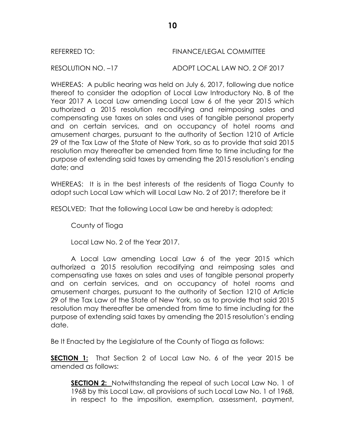#### REFERRED TO: FINANCE/LEGAL COMMITTEE

RESOLUTION NO. –17 ADOPT LOCAL LAW NO. 2 OF 2017

WHEREAS: A public hearing was held on July 6, 2017, following due notice thereof to consider the adoption of Local Law Introductory No. B of the Year 2017 A Local Law amending Local Law 6 of the year 2015 which authorized a 2015 resolution recodifying and reimposing sales and compensating use taxes on sales and uses of tangible personal property and on certain services, and on occupancy of hotel rooms and amusement charges, pursuant to the authority of Section 1210 of Article 29 of the Tax Law of the State of New York, so as to provide that said 2015 resolution may thereafter be amended from time to time including for the purpose of extending said taxes by amending the 2015 resolution's ending date; and

WHEREAS: It is in the best interests of the residents of Tioga County to adopt such Local Law which will Local Law No. 2 of 2017; therefore be it

RESOLVED: That the following Local Law be and hereby is adopted;

County of Tioga

Local Law No. 2 of the Year 2017.

A Local Law amending Local Law 6 of the year 2015 which authorized a 2015 resolution recodifying and reimposing sales and compensating use taxes on sales and uses of tangible personal property and on certain services, and on occupancy of hotel rooms and amusement charges, pursuant to the authority of Section 1210 of Article 29 of the Tax Law of the State of New York, so as to provide that said 2015 resolution may thereafter be amended from time to time including for the purpose of extending said taxes by amending the 2015 resolution's ending date.

Be It Enacted by the Legislature of the County of Tioga as follows:

**SECTION 1:** That Section 2 of Local Law No. 6 of the year 2015 be amended as follows:

**SECTION 2:** Notwithstanding the repeal of such Local Law No. 1 of 1968 by this Local Law, all provisions of such Local Law No. 1 of 1968, in respect to the imposition, exemption, assessment, payment,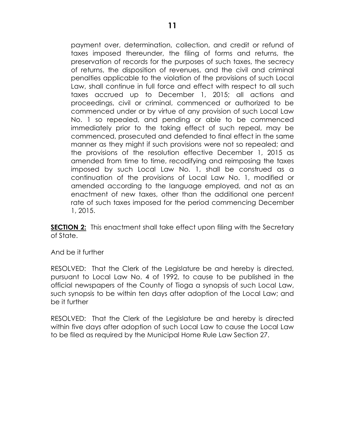payment over, determination, collection, and credit or refund of taxes imposed thereunder, the filing of forms and returns, the preservation of records for the purposes of such taxes, the secrecy of returns, the disposition of revenues, and the civil and criminal penalties applicable to the violation of the provisions of such Local Law, shall continue in full force and effect with respect to all such taxes accrued up to December 1, 2015; all actions and proceedings, civil or criminal, commenced or authorized to be commenced under or by virtue of any provision of such Local Law No. 1 so repealed, and pending or able to be commenced immediately prior to the taking effect of such repeal, may be commenced, prosecuted and defended to final effect in the same manner as they might if such provisions were not so repealed; and the provisions of the resolution effective December 1, 2015 as amended from time to time, recodifying and reimposing the taxes imposed by such Local Law No. 1, shall be construed as a continuation of the provisions of Local Law No. 1, modified or amended according to the language employed, and not as an enactment of new taxes, other than the additional one percent rate of such taxes imposed for the period commencing December 1, 2015.

**SECTION 2:** This enactment shall take effect upon filing with the Secretary of State.

#### And be it further

RESOLVED: That the Clerk of the Legislature be and hereby is directed, pursuant to Local Law No. 4 of 1992, to cause to be published in the official newspapers of the County of Tioga a synopsis of such Local Law, such synopsis to be within ten days after adoption of the Local Law; and be it further

RESOLVED: That the Clerk of the Legislature be and hereby is directed within five days after adoption of such Local Law to cause the Local Law to be filed as required by the Municipal Home Rule Law Section 27.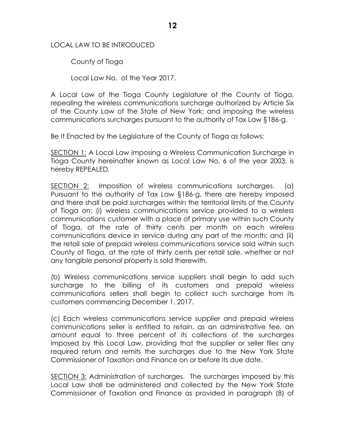### LOCAL LAW TO BE INTRODUCED

County of Tioga

Local Law No. of the Year 2017.

A Local Law of the Tioga County Legislature of the County of Tioga, repealing the wireless communications surcharge authorized by Article Six of the County Law of the State of New York; and imposing the wireless communications surcharges pursuant to the authority of Tax Law §186-g.

Be It Enacted by the Legislature of the County of Tioga as follows:

SECTION 1: A Local Law imposing a Wireless Communication Surcharge in Tioga County hereinafter known as Local Law No. 6 of the year 2003, is hereby REPEALED.

SECTION 2: Imposition of wireless communications surcharges. (a) Pursuant to the authority of Tax Law §186-g, there are hereby imposed and there shall be paid surcharges within the territorial limits of the County of Tioga on: (i) wireless communications service provided to a wireless communications customer with a place of primary use within such County of Tioga, at the rate of thirty cents per month on each wireless communications device in service during any part of the month; and (ii) the retail sale of prepaid wireless communications service sold within such County of Tioga, at the rate of thirty cents per retail sale, whether or not any tangible personal property is sold therewith.

(b) Wireless communications service suppliers shall begin to add such surcharge to the billing of its customers and prepaid wireless communications sellers shall begin to collect such surcharge from its customers commencing December 1, 2017.

(c) Each wireless communications service supplier and prepaid wireless communications seller is entitled to retain, as an administrative fee, an amount equal to three percent of its collections of the surcharges imposed by this Local Law, providing that the supplier or seller files any required return and remits the surcharges due to the New York State Commissioner of Taxation and Finance on or before its due date.

SECTION 3: Administration of surcharges. The surcharges imposed by this Local Law shall be administered and collected by the New York State Commissioner of Taxation and Finance as provided in paragraph (8) of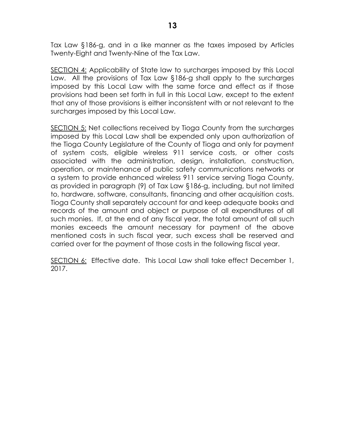Tax Law §186-g, and in a like manner as the taxes imposed by Articles Twenty-Eight and Twenty-Nine of the Tax Law.

SECTION 4: Applicability of State law to surcharges imposed by this Local Law. All the provisions of Tax Law §186-g shall apply to the surcharges imposed by this Local Law with the same force and effect as if those provisions had been set forth in full in this Local Law, except to the extent that any of those provisions is either inconsistent with or not relevant to the surcharges imposed by this Local Law.

SECTION 5: Net collections received by Tioga County from the surcharges imposed by this Local Law shall be expended only upon authorization of the Tioga County Legislature of the County of Tioga and only for payment of system costs, eligible wireless 911 service costs, or other costs associated with the administration, design, installation, construction, operation, or maintenance of public safety communications networks or a system to provide enhanced wireless 911 service serving Tioga County, as provided in paragraph (9) of Tax Law §186-g, including, but not limited to, hardware, software, consultants, financing and other acquisition costs. Tioga County shall separately account for and keep adequate books and records of the amount and object or purpose of all expenditures of all such monies. If, at the end of any fiscal year, the total amount of all such monies exceeds the amount necessary for payment of the above mentioned costs in such fiscal year, such excess shall be reserved and carried over for the payment of those costs in the following fiscal year.

SECTION 6: Effective date. This Local Law shall take effect December 1, 2017.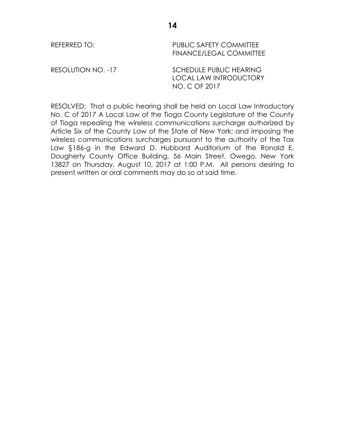| REFERRED TO:       | <b>PUBLIC SAFETY COMMITTEE</b><br><b>FINANCE/LEGAL COMMITTEE</b>                 |
|--------------------|----------------------------------------------------------------------------------|
| RESOLUTION NO. -17 | <b>SCHEDULE PUBLIC HEARING</b><br><b>LOCAL LAW INTRODUCTORY</b><br>NO. C OF 2017 |

RESOLVED: That a public hearing shall be held on Local Law Introductory No. C of 2017 A Local Law of the Tioga County Legislature of the County of Tioga repealing the wireless communications surcharge authorized by Article Six of the County Law of the State of New York; and imposing the wireless communications surcharges pursuant to the authority of the Tax Law §186-g in the Edward D. Hubbard Auditorium of the Ronald E. Dougherty County Office Building, 56 Main Street, Owego, New York 13827 on Thursday, August 10, 2017 at 1:00 P.M. All persons desiring to present written or oral comments may do so at said time.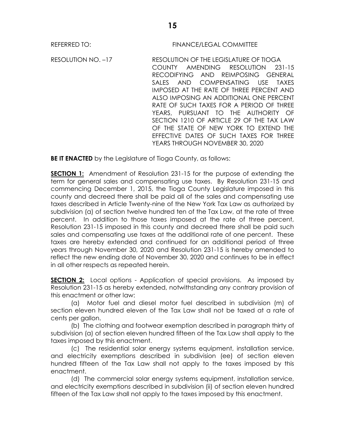#### REFERRED TO: FINANCE/LEGAL COMMITTEE

RESOLUTION NO. –17 RESOLUTION OF THE LEGISLATURE OF TIOGA COUNTY AMENDING RESOLUTION 231-15 RECODIFYING AND REIMPOSING GENERAL SALES AND COMPENSATING USE TAXES IMPOSED AT THE RATE OF THREE PERCENT AND ALSO IMPOSING AN ADDITIONAL ONE PERCENT RATE OF SUCH TAXES FOR A PERIOD OF THREE YEARS, PURSUANT TO THE AUTHORITY OF SECTION 1210 OF ARTICLE 29 OF THE TAX LAW OF THE STATE OF NEW YORK TO EXTEND THE EFFECTIVE DATES OF SUCH TAXES FOR THREE YEARS THROUGH NOVEMBER 30, 2020

**BE IT ENACTED** by the Legislature of Tioga County, as follows:

**SECTION 1:** Amendment of Resolution 231-15 for the purpose of extending the term for general sales and compensating use taxes. By Resolution 231-15 and commencing December 1, 2015, the Tioga County Legislature imposed in this county and decreed there shall be paid all of the sales and compensating use taxes described in Article Twenty-nine of the New York Tax Law as authorized by subdivision (a) of section twelve hundred ten of the Tax Law, at the rate of three percent. In addition to those taxes imposed at the rate of three percent, Resolution 231-15 imposed in this county and decreed there shall be paid such sales and compensating use taxes at the additional rate of one percent. These taxes are hereby extended and continued for an additional period of three years through November 30, 2020 and Resolution 231-15 is hereby amended to reflect the new ending date of November 30, 2020 and continues to be in effect in all other respects as repeated herein.

**SECTION 2:** Local options - Application of special provisions. As imposed by Resolution 231-15 as hereby extended, notwithstanding any contrary provision of this enactment or other law:

(a) Motor fuel and diesel motor fuel described in subdivision (m) of section eleven hundred eleven of the Tax Law shall not be taxed at a rate of cents per gallon.

(b) The clothing and footwear exemption described in paragraph thirty of subdivision (a) of section eleven hundred fifteen of the Tax Law shall apply to the taxes imposed by this enactment.

(c) The residential solar energy systems equipment, installation service, and electricity exemptions described in subdivision (ee) of section eleven hundred fifteen of the Tax Law shall not apply to the taxes imposed by this enactment.

(d) The commercial solar energy systems equipment, installation service, and electricity exemptions described in subdivision (ii) of section eleven hundred fifteen of the Tax Law shall not apply to the taxes imposed by this enactment.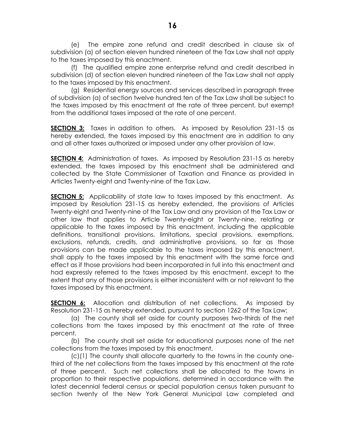(e) The empire zone refund and credit described in clause six of subdivision (a) of section eleven hundred nineteen of the Tax Law shall not apply to the taxes imposed by this enactment.

(f) The qualified empire zone enterprise refund and credit described in subdivision (d) of section eleven hundred nineteen of the Tax Law shall not apply to the taxes imposed by this enactment.

(g) Residential energy sources and services described in paragraph three of subdivision (a) of section twelve hundred ten of the Tax Law shall be subject to the taxes imposed by this enactment at the rate of three percent, but exempt from the additional taxes imposed at the rate of one percent.

**SECTION 3:** Taxes in addition to others. As imposed by Resolution 231-15 as hereby extended, the taxes imposed by this enactment are in addition to any and all other taxes authorized or imposed under any other provision of law.

**SECTION 4:** Administration of taxes. As imposed by Resolution 231-15 as hereby extended, the taxes imposed by this enactment shall be administered and collected by the State Commissioner of Taxation and Finance as provided in Articles Twenty-eight and Twenty-nine of the Tax Law.

**SECTION 5:** Applicability of state law to taxes imposed by this enactment. As imposed by Resolution 231-15 as hereby extended, the provisions of Articles Twenty-eight and Twenty-nine of the Tax Law and any provision of the Tax Law or other law that applies to Article Twenty-eight or Twenty-nine, relating or applicable to the taxes imposed by this enactment, including the applicable definitions, transitional provisions, limitations, special provisions, exemptions, exclusions, refunds, credits, and administrative provisions, so far as those provisions can be made applicable to the taxes imposed by this enactment, shall apply to the taxes imposed by this enactment with the same force and effect as if those provisions had been incorporated in full into this enactment and had expressly referred to the taxes imposed by this enactment, except to the extent that any of those provisions is either inconsistent with or not relevant to the taxes imposed by this enactment.

**SECTION 6:** Allocation and distribution of net collections. As imposed by Resolution 231-15 as hereby extended, pursuant to section 1262 of the Tax Law:

(a) The county shall set aside for county purposes two-thirds of the net collections from the taxes imposed by this enactment at the rate of three percent.

(b) The county shall set aside for educational purposes none of the net collections from the taxes imposed by this enactment.

(c)(1) The county shall allocate quarterly to the towns in the county onethird of the net collections from the taxes imposed by this enactment at the rate of three percent. Such net collections shall be allocated to the towns in proportion to their respective populations, determined in accordance with the latest decennial federal census or special population census taken pursuant to section twenty of the New York General Municipal Law completed and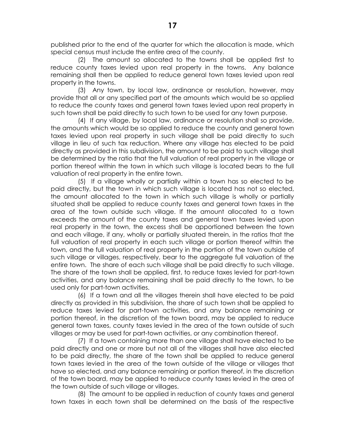published prior to the end of the quarter for which the allocation is made, which special census must include the entire area of the county.

 (2) The amount so allocated to the towns shall be applied first to reduce county taxes levied upon real property in the towns. Any balance remaining shall then be applied to reduce general town taxes levied upon real property in the towns.

 (3) Any town, by local law, ordinance or resolution, however, may provide that all or any specified part of the amounts which would be so applied to reduce the county taxes and general town taxes levied upon real property in such town shall be paid directly to such town to be used for any town purpose.

 (4) If any village, by local law, ordinance or resolution shall so provide, the amounts which would be so applied to reduce the county and general town taxes levied upon real property in such village shall be paid directly to such village in lieu of such tax reduction. Where any village has elected to be paid directly as provided in this subdivision, the amount to be paid to such village shall be determined by the ratio that the full valuation of real property in the village or portion thereof within the town in which such village is located bears to the full valuation of real property in the entire town.

 (5) If a village wholly or partially within a town has so elected to be paid directly, but the town in which such village is located has not so elected, the amount allocated to the town in which such village is wholly or partially situated shall be applied to reduce county taxes and general town taxes in the area of the town outside such village. If the amount allocated to a town exceeds the amount of the county taxes and general town taxes levied upon real property in the town, the excess shall be apportioned between the town and each village, if any, wholly or partially situated therein, in the ratios that the full valuation of real property in each such village or portion thereof within the town, and the full valuation of real property in the portion of the town outside of such village or villages, respectively, bear to the aggregate full valuation of the entire town. The share of each such village shall be paid directly to such village. The share of the town shall be applied, first, to reduce taxes levied for part-town activities, and any balance remaining shall be paid directly to the town, to be used only for part-town activities.

 (6) If a town and all the villages therein shall have elected to be paid directly as provided in this subdivision, the share of such town shall be applied to reduce taxes levied for part-town activities, and any balance remaining or portion thereof, in the discretion of the town board, may be applied to reduce general town taxes, county taxes levied in the area of the town outside of such villages or may be used for part-town activities, or any combination thereof.

 (7) If a town containing more than one village shall have elected to be paid directly and one or more but not all of the villages shall have also elected to be paid directly, the share of the town shall be applied to reduce general town taxes levied in the area of the town outside of the village or villages that have so elected, and any balance remaining or portion thereof, in the discretion of the town board, may be applied to reduce county taxes levied in the area of the town outside of such village or villages.

 (8) The amount to be applied in reduction of county taxes and general town taxes in each town shall be determined on the basis of the respective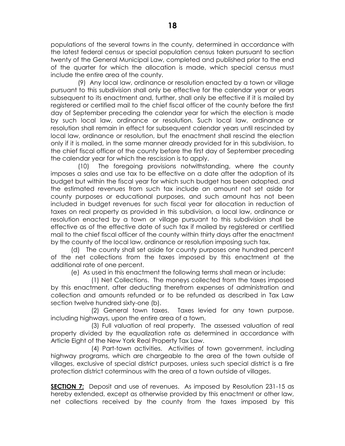populations of the several towns in the county, determined in accordance with the latest federal census or special population census taken pursuant to section twenty of the General Municipal Law, completed and published prior to the end of the quarter for which the allocation is made, which special census must include the entire area of the county.

 (9) Any local law, ordinance or resolution enacted by a town or village pursuant to this subdivision shall only be effective for the calendar year or years subsequent to its enactment and, further, shall only be effective if it is mailed by registered or certified mail to the chief fiscal officer of the county before the first day of September preceding the calendar year for which the election is made by such local law, ordinance or resolution. Such local law, ordinance or resolution shall remain in effect for subsequent calendar years until rescinded by local law, ordinance or resolution, but the enactment shall rescind the election only if it is mailed, in the same manner already provided for in this subdivision, to the chief fiscal officer of the county before the first day of September preceding the calendar year for which the rescission is to apply.

 (10) The foregoing provisions notwithstanding, where the county imposes a sales and use tax to be effective on a date after the adoption of its budget but within the fiscal year for which such budget has been adopted, and the estimated revenues from such tax include an amount not set aside for county purposes or educational purposes, and such amount has not been included in budget revenues for such fiscal year for allocation in reduction of taxes on real property as provided in this subdivision, a local law, ordinance or resolution enacted by a town or village pursuant to this subdivision shall be effective as of the effective date of such tax if mailed by registered or certified mail to the chief fiscal officer of the county within thirty days after the enactment by the county of the local law, ordinance or resolution imposing such tax.

(d) The county shall set aside for county purposes one hundred percent of the net collections from the taxes imposed by this enactment at the additional rate of one percent.

(e) As used in this enactment the following terms shall mean or include:

(1) Net Collections. The moneys collected from the taxes imposed by this enactment, after deducting therefrom expenses of administration and collection and amounts refunded or to be refunded as described in Tax Law section twelve hundred sixty-one (b).

(2) General town taxes. Taxes levied for any town purpose, including highways, upon the entire area of a town.

(3) Full valuation of real property. The assessed valuation of real property divided by the equalization rate as determined in accordance with Article Eight of the New York Real Property Tax Law.

(4) Part-town activities. Activities of town government, including highway programs, which are chargeable to the area of the town outside of villages, exclusive of special district purposes, unless such special district is a fire protection district coterminous with the area of a town outside of villages.

**SECTION 7:** Deposit and use of revenues. As imposed by Resolution 231-15 as hereby extended, except as otherwise provided by this enactment or other law, net collections received by the county from the taxes imposed by this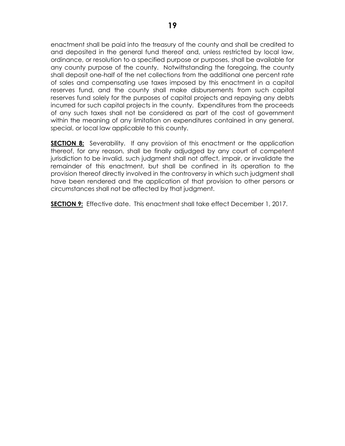enactment shall be paid into the treasury of the county and shall be credited to and deposited in the general fund thereof and, unless restricted by local law, ordinance, or resolution to a specified purpose or purposes, shall be available for any county purpose of the county. Notwithstanding the foregoing, the county shall deposit one-half of the net collections from the additional one percent rate of sales and compensating use taxes imposed by this enactment in a capital reserves fund, and the county shall make disbursements from such capital reserves fund solely for the purposes of capital projects and repaying any debts incurred for such capital projects in the county. Expenditures from the proceeds of any such taxes shall not be considered as part of the cost of government within the meaning of any limitation on expenditures contained in any general, special, or local law applicable to this county.

**SECTION 8:** Severability. If any provision of this enactment or the application thereof, for any reason, shall be finally adjudged by any court of competent jurisdiction to be invalid, such judgment shall not affect, impair, or invalidate the remainder of this enactment, but shall be confined in its operation to the provision thereof directly involved in the controversy in which such judgment shall have been rendered and the application of that provision to other persons or circumstances shall not be affected by that judgment.

**SECTION 9:** Effective date. This enactment shall take effect December 1, 2017.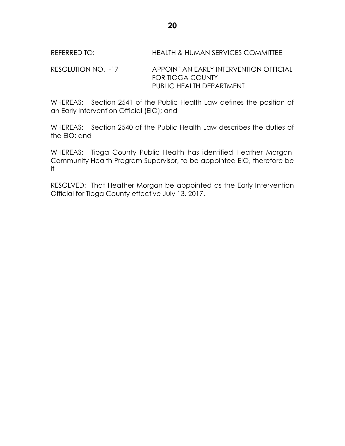## REFERRED TO: HEALTH & HUMAN SERVICES COMMITTEE

### RESOLUTION NO. -17 APPOINT AN EARLY INTERVENTION OFFICIAL FOR TIOGA COUNTY PUBLIC HEALTH DEPARTMENT

WHEREAS: Section 2541 of the Public Health Law defines the position of an Early Intervention Official (EIO); and

WHEREAS: Section 2540 of the Public Health Law describes the duties of the EIO; and

WHEREAS: Tioga County Public Health has identified Heather Morgan, Community Health Program Supervisor, to be appointed EIO, therefore be it

RESOLVED: That Heather Morgan be appointed as the Early Intervention Official for Tioga County effective July 13, 2017.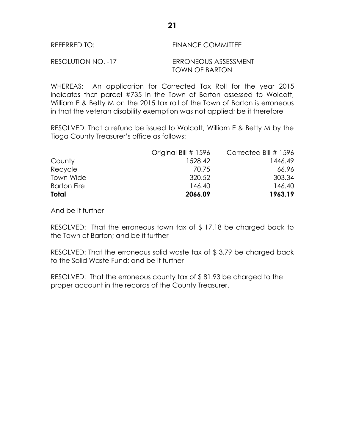| REFERRED TO:       | <b>FINANCE COMMITTEE</b> |
|--------------------|--------------------------|
| RESOLUTION NO. -17 | ERRONEOUS ASSESSMENT     |
|                    | <b>TOWN OF BARTON</b>    |

WHEREAS: An application for Corrected Tax Roll for the year 2015 indicates that parcel #735 in the Town of Barton assessed to Wolcott, William E & Betty M on the 2015 tax roll of the Town of Barton is erroneous in that the veteran disability exemption was not applied; be it therefore

RESOLVED: That a refund be issued to Wolcott, William E & Betty M by the Tioga County Treasurer's office as follows:

|                    | Original Bill # 1596 | Corrected Bill # 1596 |
|--------------------|----------------------|-----------------------|
| County             | 1528.42              | 1446.49               |
| Recycle            | 70.75                | 66.96                 |
| Town Wide          | 320.52               | 303.34                |
| <b>Barton Fire</b> | 146.40               | 146.40                |
| Total              | 2066.09              | 1963.19               |

And be it further

RESOLVED: That the erroneous town tax of \$ 17.18 be charged back to the Town of Barton; and be it further

RESOLVED: That the erroneous solid waste tax of \$ 3.79 be charged back to the Solid Waste Fund; and be it further

RESOLVED: That the erroneous county tax of \$ 81.93 be charged to the proper account in the records of the County Treasurer.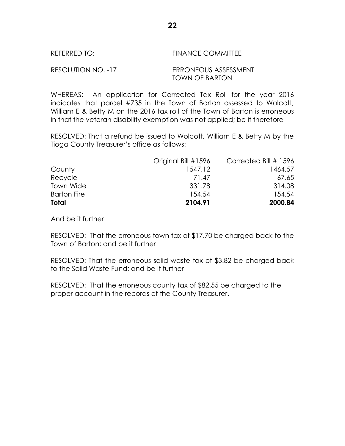| REFERRED TO:       | <b>FINANCE COMMITTEE</b> |
|--------------------|--------------------------|
| RESOLUTION NO. -17 | ERRONEOUS ASSESSMENT     |

TOWN OF BARTON WHEREAS: An application for Corrected Tax Roll for the year 2016

indicates that parcel #735 in the Town of Barton assessed to Wolcott, William E & Betty M on the 2016 tax roll of the Town of Barton is erroneous in that the veteran disability exemption was not applied; be it therefore

RESOLVED: That a refund be issued to Wolcott, William E & Betty M by the Tioga County Treasurer's office as follows:

| Total              | 2104.91             | 2000.84                 |
|--------------------|---------------------|-------------------------|
| <b>Barton Fire</b> | 154.54              | 154.54                  |
| Town Wide          | 331.78              | 314.08                  |
| Recycle            | 71.47               | 67.65                   |
| County             | 1547.12             | 1464.57                 |
|                    | Original Bill #1596 | Corrected Bill $#$ 1596 |

And be it further

RESOLVED: That the erroneous town tax of \$17.70 be charged back to the Town of Barton; and be it further

RESOLVED: That the erroneous solid waste tax of \$3.82 be charged back to the Solid Waste Fund; and be it further

RESOLVED: That the erroneous county tax of \$82.55 be charged to the proper account in the records of the County Treasurer.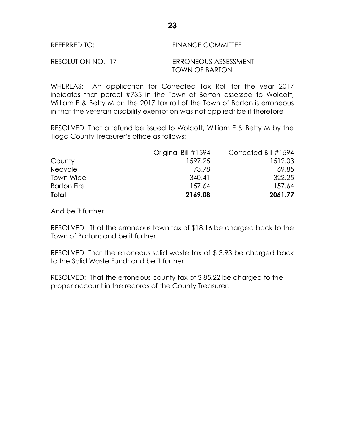| REFERRED TO:       | <b>FINANCE COMMITTEE</b> |  |  |
|--------------------|--------------------------|--|--|
| RESOLUTION NO. -17 | ERRONEOUS ASSESSMENT     |  |  |
|                    | <b>TOWN OF BARTON</b>    |  |  |

WHEREAS: An application for Corrected Tax Roll for the year 2017 indicates that parcel #735 in the Town of Barton assessed to Wolcott, William E & Betty M on the 2017 tax roll of the Town of Barton is erroneous in that the veteran disability exemption was not applied; be it therefore

RESOLVED: That a refund be issued to Wolcott, William E & Betty M by the Tioga County Treasurer's office as follows:

|                    | Original Bill #1594 | Corrected Bill #1594 |
|--------------------|---------------------|----------------------|
| County             | 1597.25             | 1512.03              |
| Recycle            | 73.78               | 69.85                |
| Town Wide          | 340.41              | 322.25               |
| <b>Barton Fire</b> | 157.64              | 157.64               |
| Total              | 2169.08             | 2061.77              |

And be it further

RESOLVED: That the erroneous town tax of \$18.16 be charged back to the Town of Barton; and be it further

RESOLVED: That the erroneous solid waste tax of \$ 3.93 be charged back to the Solid Waste Fund; and be it further

RESOLVED: That the erroneous county tax of \$ 85.22 be charged to the proper account in the records of the County Treasurer.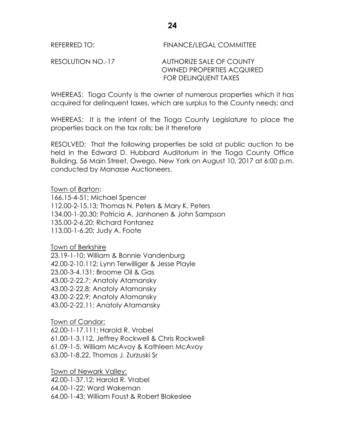# REFERRED TO: FINANCE/LEGAL COMMITTEE

## RESOLUTION NO.-17 AUTHORIZE SALE OF COUNTY OWNED PROPERTIES ACQUIRED FOR DELINQUENT TAXES

WHEREAS: Tioga County is the owner of numerous properties which it has acquired for delinquent taxes, which are surplus to the County needs; and

WHEREAS: It is the intent of the Tioga County Legislature to place the properties back on the tax rolls; be it therefore

RESOLVED: That the following properties be sold at public auction to be held in the Edward D. Hubbard Auditorium in the Tioga County Office Building, 56 Main Street, Owego, New York on August 10, 2017 at 6:00 p.m. conducted by Manasse Auctioneers.

## Town of Barton:

166.15-4-51; Michael Spencer 112.00-2-15.13; Thomas N. Peters & Mary K. Peters 134.00-1-20.30; Patricia A. Janhonen & John Sampson 135.00-2-6.20; Richard Fontanez 113.00-1-6.20; Judy A. Foote

Town of Berkshire

23.19-1-10; William & Bonnie Vandenburg 42.00-2-10.112; Lynn Terwilliger & Jesse Playle 23.00-3-4.131; Broome Oil & Gas 43.00-2-22.7; Anatoly Atamansky 43.00-2-22.8; Anatoly Atamansky 43.00-2-22.9; Anatoly Atamansky 43.00-2-22.11; Anatoly Atamansky

Town of Candor:

62.00-1-17.111; Harold R. Vrabel 61.00-1-3.112, Jeffrey Rockwell & Chris Rockwell 61.09-1-5, William McAvoy & Kathleen McAvoy 63.00-1-8.22, Thomas J. Zurzuski Sr

Town of Newark Valley: 42.00-1-37.12; Harold R. Vrabel 64.00-1-22; Ward Wakeman 64.00-1-43; William Foust & Robert Blakeslee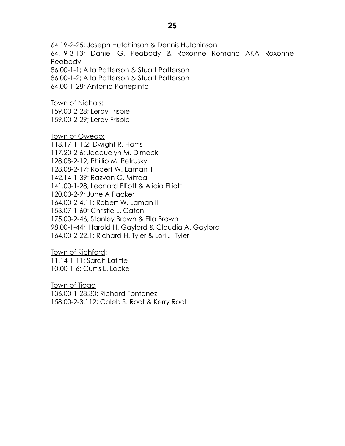64.19-2-25; Joseph Hutchinson & Dennis Hutchinson 64.19-3-13; Daniel G. Peabody & Roxonne Romano AKA Roxonne Peabody 86.00-1-1; Alta Patterson & Stuart Patterson 86.00-1-2; Alta Patterson & Stuart Patterson

64.00-1-28; Antonia Panepinto

Town of Nichols: 159.00-2-28; Leroy Frisbie 159.00-2-29; Leroy Frisbie

Town of Owego:

118.17-1-1.2; Dwight R. Harris 117.20-2-6; Jacquelyn M. Dimock 128.08-2-19, Phillip M. Petrusky 128.08-2-17; Robert W. Laman II 142.14-1-39; Razvan G. Mitrea 141.00-1-28; Leonard Elliott & Alicia Elliott 120.00-2-9; June A Packer 164.00-2-4.11; Robert W. Laman II 153.07-1-60; Christie L. Caton 175.00-2-46; Stanley Brown & Ella Brown 98.00-1-44; Harold H. Gaylord & Claudia A. Gaylord 164.00-2-22.1; Richard H. Tyler & Lori J. Tyler

Town of Richford: 11.14-1-11; Sarah Lafitte 10.00-1-6; Curtis L. Locke

Town of Tioga 136.00-1-28.30; Richard Fontanez 158.00-2-3.112; Caleb S. Root & Kerry Root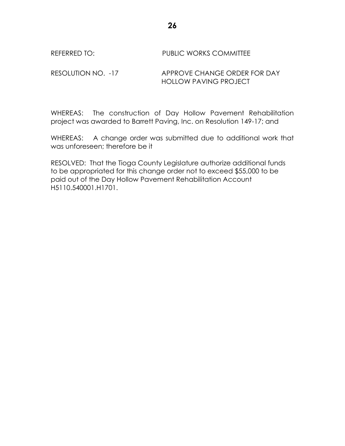## REFERRED TO: PUBLIC WORKS COMMITTEE

#### RESOLUTION NO. -17 APPROVE CHANGE ORDER FOR DAY HOLLOW PAVING PROJECT

WHEREAS: The construction of Day Hollow Pavement Rehabilitation project was awarded to Barrett Paving, Inc. on Resolution 149-17; and

WHEREAS: A change order was submitted due to additional work that was unforeseen; therefore be it

RESOLVED: That the Tioga County Legislature authorize additional funds to be appropriated for this change order not to exceed \$55,000 to be paid out of the Day Hollow Pavement Rehabilitation Account H5110.540001.H1701.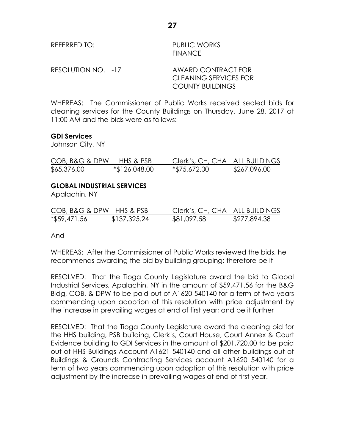| REFERRED TO:       | <b>PUBLIC WORKS</b><br><b>FINANCE</b>              |
|--------------------|----------------------------------------------------|
| RESOLUTION NO. -17 | AWARD CONTRACT FOR<br><b>CLEANING SERVICES FOR</b> |
|                    | <b>COUNTY BUILDINGS</b>                            |

WHEREAS: The Commissioner of Public Works received sealed bids for cleaning services for the County Buildings on Thursday, June 28, 2017 at 11:00 AM and the bids were as follows:

#### **GDI Services**

Johnson City, NY

| COB, B&G & DPW | HHS & PSB     | Clerk's, CH, CHA ALL BUILDINGS |              |
|----------------|---------------|--------------------------------|--------------|
| \$65,376.00    | *\$126,048.00 | *\$75,672.00                   | \$267,096.00 |

#### **GLOBAL INDUSTRIAL SERVICES**

Apalachin, NY

| COB, B&G & DPW HHS & PSB |              | Clerk's, CH, CHA ALL BUILDINGS |              |
|--------------------------|--------------|--------------------------------|--------------|
| $*$ \$59,471.56          | \$137,325.24 | \$81,097.58                    | \$277,894.38 |

And

WHEREAS: After the Commissioner of Public Works reviewed the bids, he recommends awarding the bid by building grouping; therefore be it

RESOLVED: That the Tioga County Legislature award the bid to Global Industrial Services, Apalachin, NY in the amount of \$59,471.56 for the B&G Bldg, COB, & DPW to be paid out of A1620 540140 for a term of two years commencing upon adoption of this resolution with price adjustment by the increase in prevailing wages at end of first year; and be it further

RESOLVED: That the Tioga County Legislature award the cleaning bid for the HHS building, PSB building, Clerk's, Court House, Court Annex & Court Evidence building to GDI Services in the amount of \$201,720.00 to be paid out of HHS Buildings Account A1621 540140 and all other buildings out of Buildings & Grounds Contracting Services account A1620 540140 for a term of two years commencing upon adoption of this resolution with price adjustment by the increase in prevailing wages at end of first year.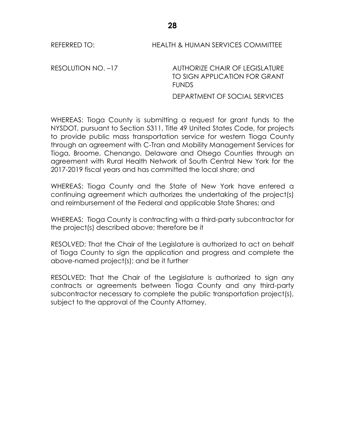#### REFERRED TO: **HEALTH & HUMAN SERVICES COMMITTEE**

RESOLUTION NO. –17 AUTHORIZE CHAIR OF LEGISLATURE TO SIGN APPLICATION FOR GRANT FUNDS

DEPARTMENT OF SOCIAL SERVICES

WHEREAS: Tioga County is submitting a request for grant funds to the NYSDOT, pursuant to Section 5311, Title 49 United States Code, for projects to provide public mass transportation service for western Tioga County through an agreement with C-Tran and Mobility Management Services for Tioga, Broome, Chenango, Delaware and Otsego Counties through an agreement with Rural Health Network of South Central New York for the 2017-2019 fiscal years and has committed the local share; and

WHEREAS: Tioga County and the State of New York have entered a continuing agreement which authorizes the undertaking of the project(s) and reimbursement of the Federal and applicable State Shares; and

WHEREAS: Tioga County is contracting with a third-party subcontractor for the project(s) described above; therefore be it

RESOLVED: That the Chair of the Legislature is authorized to act on behalf of Tioga County to sign the application and progress and complete the above-named project(s); and be it further

RESOLVED: That the Chair of the Legislature is authorized to sign any contracts or agreements between Tioga County and any third-party subcontractor necessary to complete the public transportation project(s), subject to the approval of the County Attorney.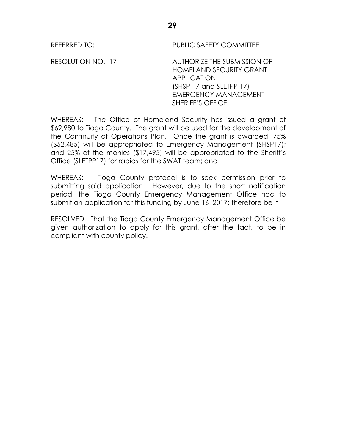REFERRED TO: PUBLIC SAFETY COMMITTEE

RESOLUTION NO. -17 AUTHORIZE THE SUBMISSION OF HOMELAND SECURITY GRANT **APPLICATION** (SHSP 17 and SLETPP 17) EMERGENCY MANAGEMENT SHERIFF'S OFFICE

WHEREAS: The Office of Homeland Security has issued a grant of \$69,980 to Tioga County. The grant will be used for the development of the Continuity of Operations Plan. Once the grant is awarded, 75% (\$52,485) will be appropriated to Emergency Management (SHSP17); and 25% of the monies (\$17,495) will be appropriated to the Sheriff's Office (SLETPP17) for radios for the SWAT team; and

WHEREAS: Tioga County protocol is to seek permission prior to submitting said application. However, due to the short notification period, the Tioga County Emergency Management Office had to submit an application for this funding by June 16, 2017; therefore be it

RESOLVED: That the Tioga County Emergency Management Office be given authorization to apply for this grant, after the fact, to be in compliant with county policy.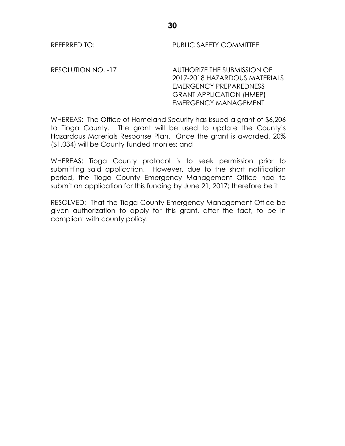REFERRED TO: PUBLIC SAFETY COMMITTEE

RESOLUTION NO. -17 AUTHORIZE THE SUBMISSION OF 2017-2018 HAZARDOUS MATERIALS EMERGENCY PREPAREDNESS GRANT APPLICATION (HMEP) EMERGENCY MANAGEMENT

WHEREAS: The Office of Homeland Security has issued a grant of \$6,206 to Tioga County. The grant will be used to update the County's Hazardous Materials Response Plan. Once the grant is awarded, 20% (\$1,034) will be County funded monies; and

WHEREAS: Tioga County protocol is to seek permission prior to submitting said application. However, due to the short notification period, the Tioga County Emergency Management Office had to submit an application for this funding by June 21, 2017; therefore be it

RESOLVED: That the Tioga County Emergency Management Office be given authorization to apply for this grant, after the fact, to be in compliant with county policy.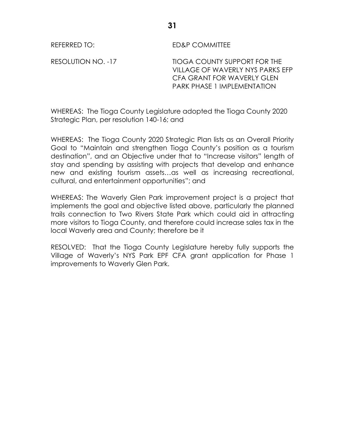REFERRED TO: ED&P COMMITTEE

RESOLUTION NO. -17 TIOGA COUNTY SUPPORT FOR THE VILLAGE OF WAVERLY NYS PARKS EFP CFA GRANT FOR WAVERLY GLEN PARK PHASE 1 IMPLEMENTATION

WHEREAS: The Tioga County Legislature adopted the Tioga County 2020 Strategic Plan, per resolution 140-16; and

WHEREAS: The Tioga County 2020 Strategic Plan lists as an Overall Priority Goal to "Maintain and strengthen Tioga County's position as a tourism destination", and an Objective under that to "Increase visitors" length of stay and spending by assisting with projects that develop and enhance new and existing tourism assets…as well as increasing recreational, cultural, and entertainment opportunities"; and

WHEREAS: The Waverly Glen Park improvement project is a project that implements the goal and objective listed above, particularly the planned trails connection to Two Rivers State Park which could aid in attracting more visitors to Tioga County, and therefore could increase sales tax in the local Waverly area and County; therefore be it

RESOLVED: That the Tioga County Legislature hereby fully supports the Village of Waverly's NYS Park EPF CFA grant application for Phase 1 improvements to Waverly Glen Park.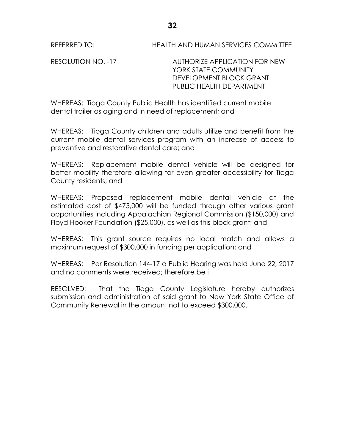REFERRED TO: HEALTH AND HUMAN SERVICES COMMITTEE

RESOLUTION NO. -17 AUTHORIZE APPLICATION FOR NEW YORK STATE COMMUNITY DEVELOPMENT BLOCK GRANT PUBLIC HEALTH DEPARTMENT

WHEREAS: Tioga County Public Health has identified current mobile dental trailer as aging and in need of replacement; and

WHEREAS: Tioga County children and adults utilize and benefit from the current mobile dental services program with an increase of access to preventive and restorative dental care; and

WHEREAS: Replacement mobile dental vehicle will be designed for better mobility therefore allowing for even greater accessibility for Tioga County residents; and

WHEREAS: Proposed replacement mobile dental vehicle at the estimated cost of \$475,000 will be funded through other various grant opportunities including Appalachian Regional Commission (\$150,000) and Floyd Hooker Foundation (\$25,000), as well as this block grant; and

WHEREAS: This grant source requires no local match and allows a maximum request of \$300,000 in funding per application; and

WHEREAS: Per Resolution 144-17 a Public Hearing was held June 22, 2017 and no comments were received; therefore be it

RESOLVED: That the Tioga County Legislature hereby authorizes submission and administration of said grant to New York State Office of Community Renewal in the amount not to exceed \$300,000.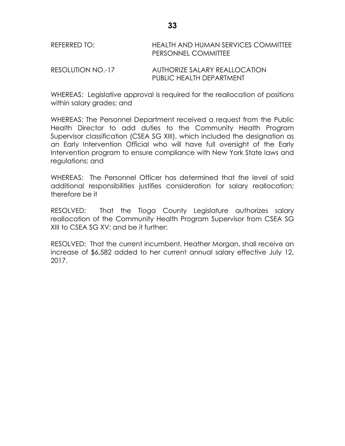| REFERRED TO:      | HEALTH AND HUMAN SERVICES COMMITTEE<br><b>PERSONNEL COMMITTEE</b> |
|-------------------|-------------------------------------------------------------------|
| RESOLUTION NO.-17 | AUTHORIZE SALARY REALLOCATION                                     |

PUBLIC HEALTH DEPARTMENT

WHEREAS: Legislative approval is required for the reallocation of positions within salary grades; and

WHEREAS: The Personnel Department received a request from the Public Health Director to add duties to the Community Health Program Supervisor classification (CSEA SG XIII), which included the designation as an Early Intervention Official who will have full oversight of the Early Intervention program to ensure compliance with New York State laws and regulations; and

WHEREAS: The Personnel Officer has determined that the level of said additional responsibilities justifies consideration for salary reallocation; therefore be it

RESOLVED: That the Tioga County Legislature authorizes salary reallocation of the Community Health Program Supervisor from CSEA SG XIII to CSEA SG XV; and be it further:

RESOLVED: That the current incumbent, Heather Morgan, shall receive an increase of \$6,582 added to her current annual salary effective July 12, 2017.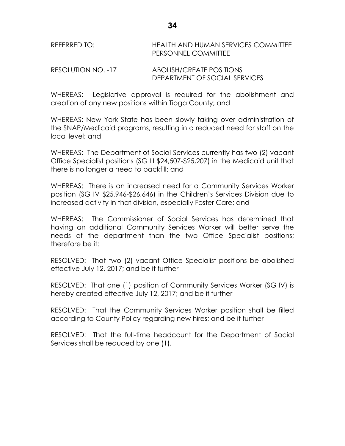REFERRED TO: HEALTH AND HUMAN SERVICES COMMITTEE PERSONNEL COMMITTEE

RESOLUTION NO. -17 ABOLISH/CREATE POSITIONS DEPARTMENT OF SOCIAL SERVICES

WHEREAS: Legislative approval is required for the abolishment and creation of any new positions within Tioga County; and

WHEREAS: New York State has been slowly taking over administration of the SNAP/Medicaid programs, resulting in a reduced need for staff on the local level; and

WHEREAS: The Department of Social Services currently has two (2) vacant Office Specialist positions (SG III \$24,507-\$25,207) in the Medicaid unit that there is no longer a need to backfill; and

WHEREAS: There is an increased need for a Community Services Worker position (SG IV \$25,946-\$26,646) in the Children's Services Division due to increased activity in that division, especially Foster Care; and

WHEREAS: The Commissioner of Social Services has determined that having an additional Community Services Worker will better serve the needs of the department than the two Office Specialist positions; therefore be it:

RESOLVED: That two (2) vacant Office Specialist positions be abolished effective July 12, 2017; and be it further

RESOLVED: That one (1) position of Community Services Worker (SG IV) is hereby created effective July 12, 2017; and be it further

RESOLVED: That the Community Services Worker position shall be filled according to County Policy regarding new hires; and be it further

RESOLVED: That the full-time headcount for the Department of Social Services shall be reduced by one (1).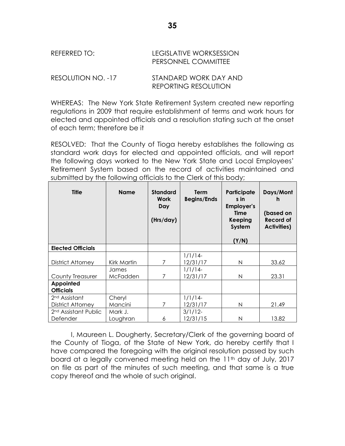| REFERRED TO:       | LEGISLATIVE WORKSESSION<br><b>PERSONNEL COMMITTEE</b> |
|--------------------|-------------------------------------------------------|
| RESOLUTION NO. -17 | STANDARD WORK DAY AND                                 |

WHEREAS: The New York State Retirement System created new reporting regulations in 2009 that require establishment of terms and work hours for elected and appointed officials and a resolution stating such at the onset of each term; therefore be it

REPORTING RESOLUTION

RESOLVED: That the County of Tioga hereby establishes the following as standard work days for elected and appointed officials, and will report the following days worked to the New York State and Local Employees' Retirement System based on the record of activities maintained and submitted by the following officials to the Clerk of this body;

| <b>Title</b>                     | <b>Name</b> | <b>Standard</b><br>Work<br>Day<br>(Hrs/day) | Term<br><b>Begins/Ends</b> | Participate<br>s in<br>Employer's<br>Time<br><b>Keeping</b><br>System<br>(Y/N) | Days/Mont<br>n<br>(based on<br><b>Record of</b><br><b>Activities)</b> |
|----------------------------------|-------------|---------------------------------------------|----------------------------|--------------------------------------------------------------------------------|-----------------------------------------------------------------------|
| <b>Elected Officials</b>         |             |                                             |                            |                                                                                |                                                                       |
|                                  |             |                                             | $1/1/14-$                  |                                                                                |                                                                       |
| District Attorney                | Kirk Martin | 7                                           | 12/31/17                   | N                                                                              | 33.62                                                                 |
|                                  | James       |                                             | $1/1/14-$                  |                                                                                |                                                                       |
| <b>County Treasurer</b>          | McFadden    | 7                                           | 12/31/17                   | N                                                                              | 23.31                                                                 |
| Appointed                        |             |                                             |                            |                                                                                |                                                                       |
| <b>Officials</b>                 |             |                                             |                            |                                                                                |                                                                       |
| 2 <sup>nd</sup> Assistant        | Cheryl      |                                             | $1/1/14-$                  |                                                                                |                                                                       |
| <b>District Attorney</b>         | Mancini     | 7                                           | 12/31/17                   | N                                                                              | 21.49                                                                 |
| 2 <sup>nd</sup> Assistant Public | Mark J.     |                                             | $3/1/12$ -                 |                                                                                |                                                                       |
| Defender                         | Loughran    | 6                                           | 12/31/15                   | N                                                                              | 13.82                                                                 |

I, Maureen L. Dougherty, Secretary/Clerk of the governing board of the County of Tioga, of the State of New York, do hereby certify that I have compared the foregoing with the original resolution passed by such board at a legally convened meeting held on the 11<sup>th</sup> day of July, 2017 on file as part of the minutes of such meeting, and that same is a true copy thereof and the whole of such original.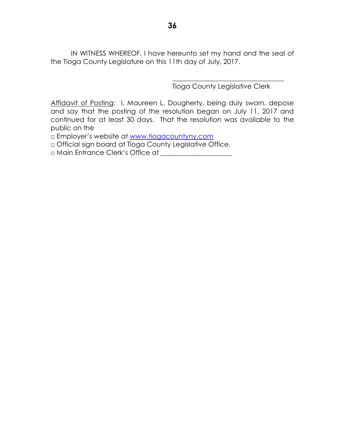IN WITNESS WHEREOF, I have hereunto set my hand and the seal of the Tioga County Legislature on this 11th day of July, 2017.

Tioga County Legislative Clerk

\_\_\_\_\_\_\_\_\_\_\_\_\_\_\_\_\_\_\_\_\_\_\_\_\_\_\_\_\_\_\_\_\_

Affidavit of Posting: I, Maureen L. Dougherty, being duly sworn, depose and say that the posting of the resolution began on July 11, 2017 and continued for at least 30 days. That the resolution was available to the public on the

□ Employer's website at [www.tiogacountyny.com](http://www.tiogacountyny.com/)

□ Official sign board at Tioga County Legislative Office.

□ Main Entrance Clerk's Office at \_\_\_\_\_\_\_\_\_\_\_\_\_\_\_\_\_\_\_\_\_